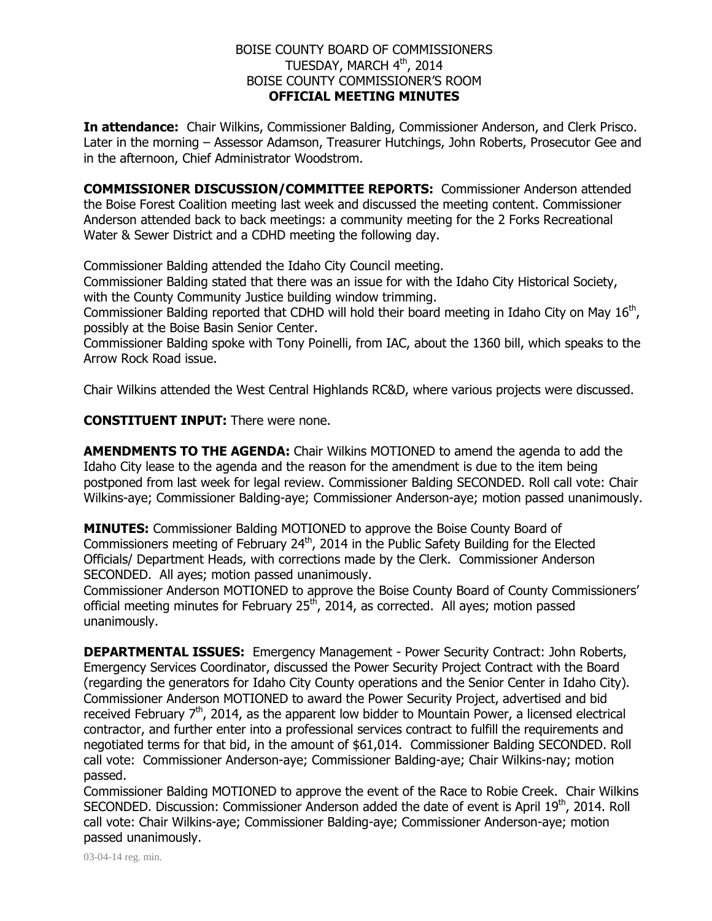## BOISE COUNTY BOARD OF COMMISSIONERS TUESDAY, MARCH  $4^{\text{th}}$ , 2014 BOISE COUNTY COMMISSIONER'S ROOM **OFFICIAL MEETING MINUTES**

**In attendance:** Chair Wilkins, Commissioner Balding, Commissioner Anderson, and Clerk Prisco. Later in the morning – Assessor Adamson, Treasurer Hutchings, John Roberts, Prosecutor Gee and in the afternoon, Chief Administrator Woodstrom.

**COMMISSIONER DISCUSSION/COMMITTEE REPORTS:** Commissioner Anderson attended the Boise Forest Coalition meeting last week and discussed the meeting content. Commissioner Anderson attended back to back meetings: a community meeting for the 2 Forks Recreational Water & Sewer District and a CDHD meeting the following day.

Commissioner Balding attended the Idaho City Council meeting.

Commissioner Balding stated that there was an issue for with the Idaho City Historical Society, with the County Community Justice building window trimming.

Commissioner Balding reported that CDHD will hold their board meeting in Idaho City on May  $16<sup>th</sup>$ , possibly at the Boise Basin Senior Center.

Commissioner Balding spoke with Tony Poinelli, from IAC, about the 1360 bill, which speaks to the Arrow Rock Road issue.

Chair Wilkins attended the West Central Highlands RC&D, where various projects were discussed.

**CONSTITUENT INPUT:** There were none.

**AMENDMENTS TO THE AGENDA:** Chair Wilkins MOTIONED to amend the agenda to add the Idaho City lease to the agenda and the reason for the amendment is due to the item being postponed from last week for legal review. Commissioner Balding SECONDED. Roll call vote: Chair Wilkins-aye; Commissioner Balding-aye; Commissioner Anderson-aye; motion passed unanimously.

**MINUTES:** Commissioner Balding MOTIONED to approve the Boise County Board of Commissioners meeting of February 24<sup>th</sup>, 2014 in the Public Safety Building for the Elected Officials/ Department Heads, with corrections made by the Clerk. Commissioner Anderson SECONDED. All ayes; motion passed unanimously.

Commissioner Anderson MOTIONED to approve the Boise County Board of County Commissioners' official meeting minutes for February 25<sup>th</sup>, 2014, as corrected. All ayes; motion passed unanimously.

**DEPARTMENTAL ISSUES:** Emergency Management - Power Security Contract: John Roberts, Emergency Services Coordinator, discussed the Power Security Project Contract with the Board (regarding the generators for Idaho City County operations and the Senior Center in Idaho City). Commissioner Anderson MOTIONED to award the Power Security Project, advertised and bid received February  $7<sup>th</sup>$ , 2014, as the apparent low bidder to Mountain Power, a licensed electrical contractor, and further enter into a professional services contract to fulfill the requirements and negotiated terms for that bid, in the amount of \$61,014. Commissioner Balding SECONDED. Roll call vote: Commissioner Anderson-aye; Commissioner Balding-aye; Chair Wilkins-nay; motion passed.

Commissioner Balding MOTIONED to approve the event of the Race to Robie Creek. Chair Wilkins SECONDED. Discussion: Commissioner Anderson added the date of event is April 19<sup>th</sup>, 2014. Roll call vote: Chair Wilkins-aye; Commissioner Balding-aye; Commissioner Anderson-aye; motion passed unanimously.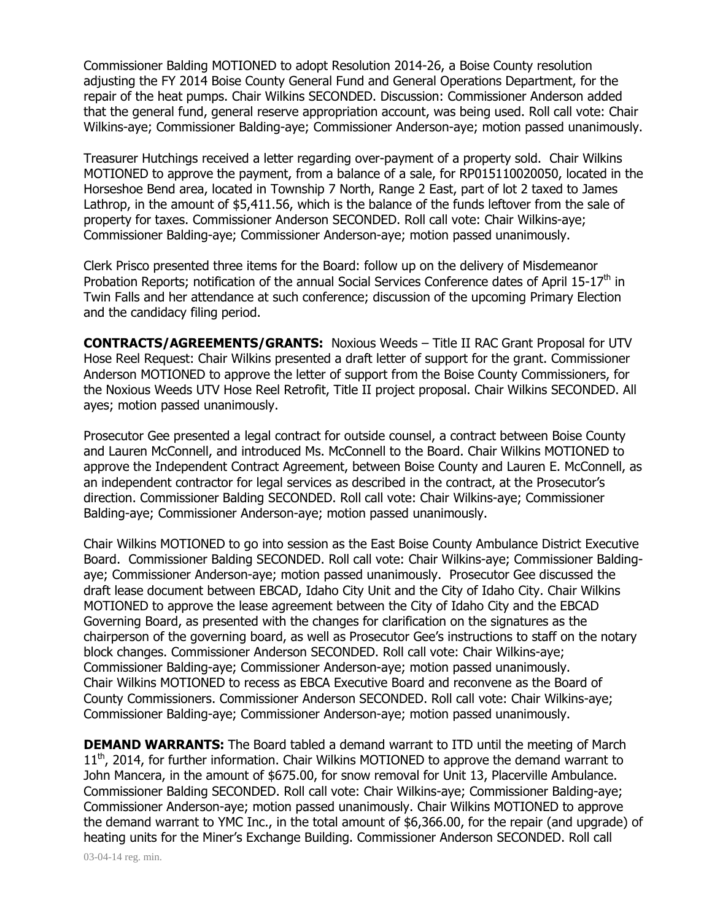Commissioner Balding MOTIONED to adopt Resolution 2014-26, a Boise County resolution adjusting the FY 2014 Boise County General Fund and General Operations Department, for the repair of the heat pumps. Chair Wilkins SECONDED. Discussion: Commissioner Anderson added that the general fund, general reserve appropriation account, was being used. Roll call vote: Chair Wilkins-aye; Commissioner Balding-aye; Commissioner Anderson-aye; motion passed unanimously.

Treasurer Hutchings received a letter regarding over-payment of a property sold. Chair Wilkins MOTIONED to approve the payment, from a balance of a sale, for RP015110020050, located in the Horseshoe Bend area, located in Township 7 North, Range 2 East, part of lot 2 taxed to James Lathrop, in the amount of \$5,411.56, which is the balance of the funds leftover from the sale of property for taxes. Commissioner Anderson SECONDED. Roll call vote: Chair Wilkins-aye; Commissioner Balding-aye; Commissioner Anderson-aye; motion passed unanimously.

Clerk Prisco presented three items for the Board: follow up on the delivery of Misdemeanor Probation Reports; notification of the annual Social Services Conference dates of April 15-17<sup>th</sup> in Twin Falls and her attendance at such conference; discussion of the upcoming Primary Election and the candidacy filing period.

**CONTRACTS/AGREEMENTS/GRANTS:** Noxious Weeds – Title II RAC Grant Proposal for UTV Hose Reel Request: Chair Wilkins presented a draft letter of support for the grant. Commissioner Anderson MOTIONED to approve the letter of support from the Boise County Commissioners, for the Noxious Weeds UTV Hose Reel Retrofit, Title II project proposal. Chair Wilkins SECONDED. All ayes; motion passed unanimously.

Prosecutor Gee presented a legal contract for outside counsel, a contract between Boise County and Lauren McConnell, and introduced Ms. McConnell to the Board. Chair Wilkins MOTIONED to approve the Independent Contract Agreement, between Boise County and Lauren E. McConnell, as an independent contractor for legal services as described in the contract, at the Prosecutor's direction. Commissioner Balding SECONDED. Roll call vote: Chair Wilkins-aye; Commissioner Balding-aye; Commissioner Anderson-aye; motion passed unanimously.

Chair Wilkins MOTIONED to go into session as the East Boise County Ambulance District Executive Board. Commissioner Balding SECONDED. Roll call vote: Chair Wilkins-aye; Commissioner Baldingaye; Commissioner Anderson-aye; motion passed unanimously. Prosecutor Gee discussed the draft lease document between EBCAD, Idaho City Unit and the City of Idaho City. Chair Wilkins MOTIONED to approve the lease agreement between the City of Idaho City and the EBCAD Governing Board, as presented with the changes for clarification on the signatures as the chairperson of the governing board, as well as Prosecutor Gee's instructions to staff on the notary block changes. Commissioner Anderson SECONDED. Roll call vote: Chair Wilkins-aye; Commissioner Balding-aye; Commissioner Anderson-aye; motion passed unanimously. Chair Wilkins MOTIONED to recess as EBCA Executive Board and reconvene as the Board of County Commissioners. Commissioner Anderson SECONDED. Roll call vote: Chair Wilkins-aye; Commissioner Balding-aye; Commissioner Anderson-aye; motion passed unanimously.

**DEMAND WARRANTS:** The Board tabled a demand warrant to ITD until the meeting of March  $11<sup>th</sup>$ , 2014, for further information. Chair Wilkins MOTIONED to approve the demand warrant to John Mancera, in the amount of \$675.00, for snow removal for Unit 13, Placerville Ambulance. Commissioner Balding SECONDED. Roll call vote: Chair Wilkins-aye; Commissioner Balding-aye; Commissioner Anderson-aye; motion passed unanimously. Chair Wilkins MOTIONED to approve the demand warrant to YMC Inc., in the total amount of \$6,366.00, for the repair (and upgrade) of heating units for the Miner's Exchange Building. Commissioner Anderson SECONDED. Roll call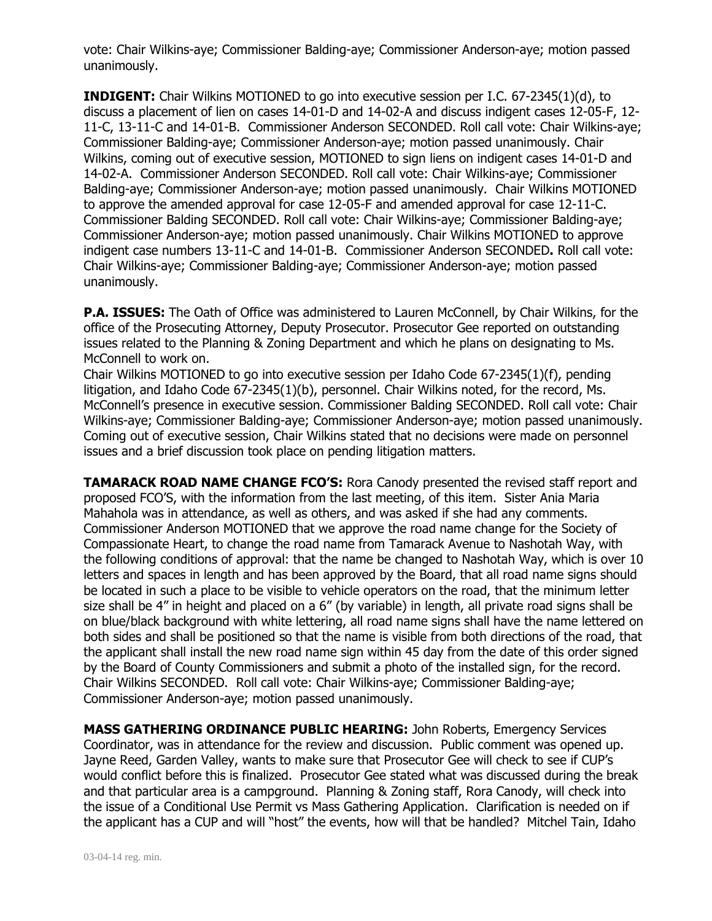vote: Chair Wilkins-aye; Commissioner Balding-aye; Commissioner Anderson-aye; motion passed unanimously.

**INDIGENT:** Chair Wilkins MOTIONED to go into executive session per I.C. 67-2345(1)(d), to discuss a placement of lien on cases 14-01-D and 14-02-A and discuss indigent cases 12-05-F, 12- 11-C, 13-11-C and 14-01-B. Commissioner Anderson SECONDED. Roll call vote: Chair Wilkins-aye; Commissioner Balding-aye; Commissioner Anderson-aye; motion passed unanimously. Chair Wilkins, coming out of executive session, MOTIONED to sign liens on indigent cases 14-01-D and 14-02-A. Commissioner Anderson SECONDED. Roll call vote: Chair Wilkins-aye; Commissioner Balding-aye; Commissioner Anderson-aye; motion passed unanimously. Chair Wilkins MOTIONED to approve the amended approval for case 12-05-F and amended approval for case 12-11-C. Commissioner Balding SECONDED. Roll call vote: Chair Wilkins-aye; Commissioner Balding-aye; Commissioner Anderson-aye; motion passed unanimously. Chair Wilkins MOTIONED to approve indigent case numbers 13-11-C and 14-01-B. Commissioner Anderson SECONDED**.** Roll call vote: Chair Wilkins-aye; Commissioner Balding-aye; Commissioner Anderson-aye; motion passed unanimously.

**P.A. ISSUES:** The Oath of Office was administered to Lauren McConnell, by Chair Wilkins, for the office of the Prosecuting Attorney, Deputy Prosecutor. Prosecutor Gee reported on outstanding issues related to the Planning & Zoning Department and which he plans on designating to Ms. McConnell to work on.

Chair Wilkins MOTIONED to go into executive session per Idaho Code 67-2345(1)(f), pending litigation, and Idaho Code 67-2345(1)(b), personnel. Chair Wilkins noted, for the record, Ms. McConnell's presence in executive session. Commissioner Balding SECONDED. Roll call vote: Chair Wilkins-aye; Commissioner Balding-aye; Commissioner Anderson-aye; motion passed unanimously. Coming out of executive session, Chair Wilkins stated that no decisions were made on personnel issues and a brief discussion took place on pending litigation matters.

**TAMARACK ROAD NAME CHANGE FCO'S:** Rora Canody presented the revised staff report and proposed FCO'S, with the information from the last meeting, of this item. Sister Ania Maria Mahahola was in attendance, as well as others, and was asked if she had any comments. Commissioner Anderson MOTIONED that we approve the road name change for the Society of Compassionate Heart, to change the road name from Tamarack Avenue to Nashotah Way, with the following conditions of approval: that the name be changed to Nashotah Way, which is over 10 letters and spaces in length and has been approved by the Board, that all road name signs should be located in such a place to be visible to vehicle operators on the road, that the minimum letter size shall be 4" in height and placed on a 6" (by variable) in length, all private road signs shall be on blue/black background with white lettering, all road name signs shall have the name lettered on both sides and shall be positioned so that the name is visible from both directions of the road, that the applicant shall install the new road name sign within 45 day from the date of this order signed by the Board of County Commissioners and submit a photo of the installed sign, for the record. Chair Wilkins SECONDED. Roll call vote: Chair Wilkins-aye; Commissioner Balding-aye; Commissioner Anderson-aye; motion passed unanimously.

**MASS GATHERING ORDINANCE PUBLIC HEARING:** John Roberts, Emergency Services Coordinator, was in attendance for the review and discussion. Public comment was opened up. Jayne Reed, Garden Valley, wants to make sure that Prosecutor Gee will check to see if CUP's would conflict before this is finalized. Prosecutor Gee stated what was discussed during the break and that particular area is a campground. Planning & Zoning staff, Rora Canody, will check into the issue of a Conditional Use Permit vs Mass Gathering Application. Clarification is needed on if the applicant has a CUP and will "host" the events, how will that be handled? Mitchel Tain, Idaho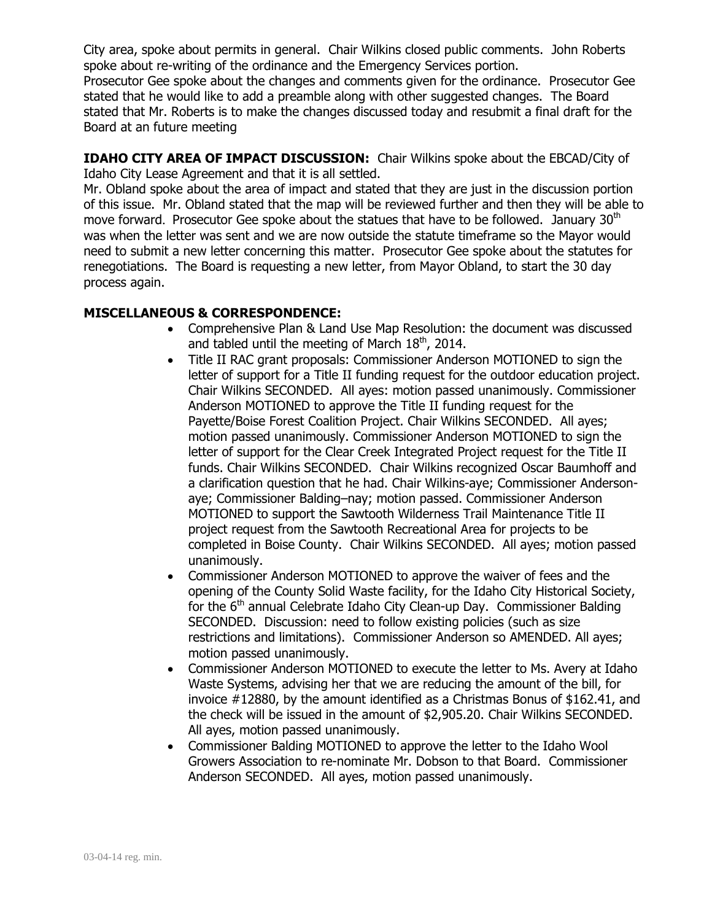City area, spoke about permits in general. Chair Wilkins closed public comments. John Roberts spoke about re-writing of the ordinance and the Emergency Services portion.

Prosecutor Gee spoke about the changes and comments given for the ordinance. Prosecutor Gee stated that he would like to add a preamble along with other suggested changes. The Board stated that Mr. Roberts is to make the changes discussed today and resubmit a final draft for the Board at an future meeting

**IDAHO CITY AREA OF IMPACT DISCUSSION:** Chair Wilkins spoke about the EBCAD/City of Idaho City Lease Agreement and that it is all settled.

Mr. Obland spoke about the area of impact and stated that they are just in the discussion portion of this issue. Mr. Obland stated that the map will be reviewed further and then they will be able to move forward. Prosecutor Gee spoke about the statues that have to be followed. January 30<sup>th</sup> was when the letter was sent and we are now outside the statute timeframe so the Mayor would need to submit a new letter concerning this matter. Prosecutor Gee spoke about the statutes for renegotiations. The Board is requesting a new letter, from Mayor Obland, to start the 30 day process again.

## **MISCELLANEOUS & CORRESPONDENCE:**

- Comprehensive Plan & Land Use Map Resolution: the document was discussed and tabled until the meeting of March  $18<sup>th</sup>$ , 2014.
- Title II RAC grant proposals: Commissioner Anderson MOTIONED to sign the letter of support for a Title II funding request for the outdoor education project. Chair Wilkins SECONDED. All ayes: motion passed unanimously. Commissioner Anderson MOTIONED to approve the Title II funding request for the Payette/Boise Forest Coalition Project. Chair Wilkins SECONDED. All ayes; motion passed unanimously. Commissioner Anderson MOTIONED to sign the letter of support for the Clear Creek Integrated Project request for the Title II funds. Chair Wilkins SECONDED. Chair Wilkins recognized Oscar Baumhoff and a clarification question that he had. Chair Wilkins-aye; Commissioner Andersonaye; Commissioner Balding–nay; motion passed. Commissioner Anderson MOTIONED to support the Sawtooth Wilderness Trail Maintenance Title II project request from the Sawtooth Recreational Area for projects to be completed in Boise County. Chair Wilkins SECONDED. All ayes; motion passed unanimously.
- Commissioner Anderson MOTIONED to approve the waiver of fees and the opening of the County Solid Waste facility, for the Idaho City Historical Society, for the  $6<sup>th</sup>$  annual Celebrate Idaho City Clean-up Day. Commissioner Balding SECONDED. Discussion: need to follow existing policies (such as size restrictions and limitations). Commissioner Anderson so AMENDED. All ayes; motion passed unanimously.
- Commissioner Anderson MOTIONED to execute the letter to Ms. Avery at Idaho Waste Systems, advising her that we are reducing the amount of the bill, for invoice #12880, by the amount identified as a Christmas Bonus of \$162.41, and the check will be issued in the amount of \$2,905.20. Chair Wilkins SECONDED. All ayes, motion passed unanimously.
- Commissioner Balding MOTIONED to approve the letter to the Idaho Wool Growers Association to re-nominate Mr. Dobson to that Board. Commissioner Anderson SECONDED. All ayes, motion passed unanimously.